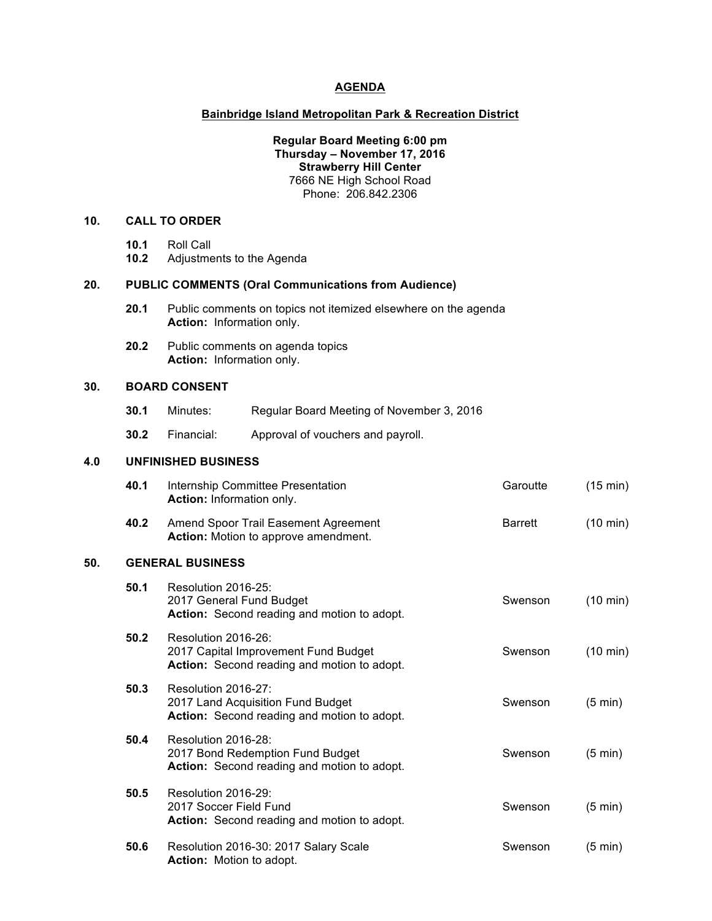### **AGENDA**

#### **Bainbridge Island Metropolitan Park & Recreation District**

# **Regular Board Meeting 6:00 pm Thursday – November 17, 2016 Strawberry Hill Center** 7666 NE High School Road Phone: 206.842.2306

# **10. CALL TO ORDER**

- **10.1** Roll Call
- **10.2** Adjustments to the Agenda

### **20. PUBLIC COMMENTS (Oral Communications from Audience)**

- **20.1** Public comments on topics not itemized elsewhere on the agenda **Action:** Information only.
- **20.2** Public comments on agenda topics **Action:** Information only.

# **30. BOARD CONSENT**

- **30.1** Minutes: Regular Board Meeting of November 3, 2016
- **30.2** Financial: Approval of vouchers and payroll.

# **4.0 UNFINISHED BUSINESS**

|     | 40.1                    | <b>Internship Committee Presentation</b><br>Action: Information only.                                      | Garoutte | (15 min)           |  |  |  |  |
|-----|-------------------------|------------------------------------------------------------------------------------------------------------|----------|--------------------|--|--|--|--|
|     | 40.2                    | Amend Spoor Trail Easement Agreement<br><b>Action:</b> Motion to approve amendment.                        | Barrett  | $(10 \text{ min})$ |  |  |  |  |
| 50. | <b>GENERAL BUSINESS</b> |                                                                                                            |          |                    |  |  |  |  |
|     | 50.1                    | Resolution 2016-25:<br>2017 General Fund Budget<br>Action: Second reading and motion to adopt.             | Swenson  | $(10 \text{ min})$ |  |  |  |  |
|     | 50.2                    | Resolution 2016-26:<br>2017 Capital Improvement Fund Budget<br>Action: Second reading and motion to adopt. | Swenson  | $(10 \text{ min})$ |  |  |  |  |
|     | 50.3                    | Resolution 2016-27:<br>2017 Land Acquisition Fund Budget<br>Action: Second reading and motion to adopt.    | Swenson  | $(5 \text{ min})$  |  |  |  |  |
|     | 50.4                    | Resolution 2016-28:<br>2017 Bond Redemption Fund Budget<br>Action: Second reading and motion to adopt.     | Swenson  | $(5 \text{ min})$  |  |  |  |  |
|     | 50.5                    | Resolution 2016-29:<br>2017 Soccer Field Fund<br>Action: Second reading and motion to adopt.               | Swenson  | $(5 \text{ min})$  |  |  |  |  |
|     | 50.6                    | Resolution 2016-30: 2017 Salary Scale<br><b>Action:</b> Motion to adopt.                                   | Swenson  | $(5 \text{ min})$  |  |  |  |  |